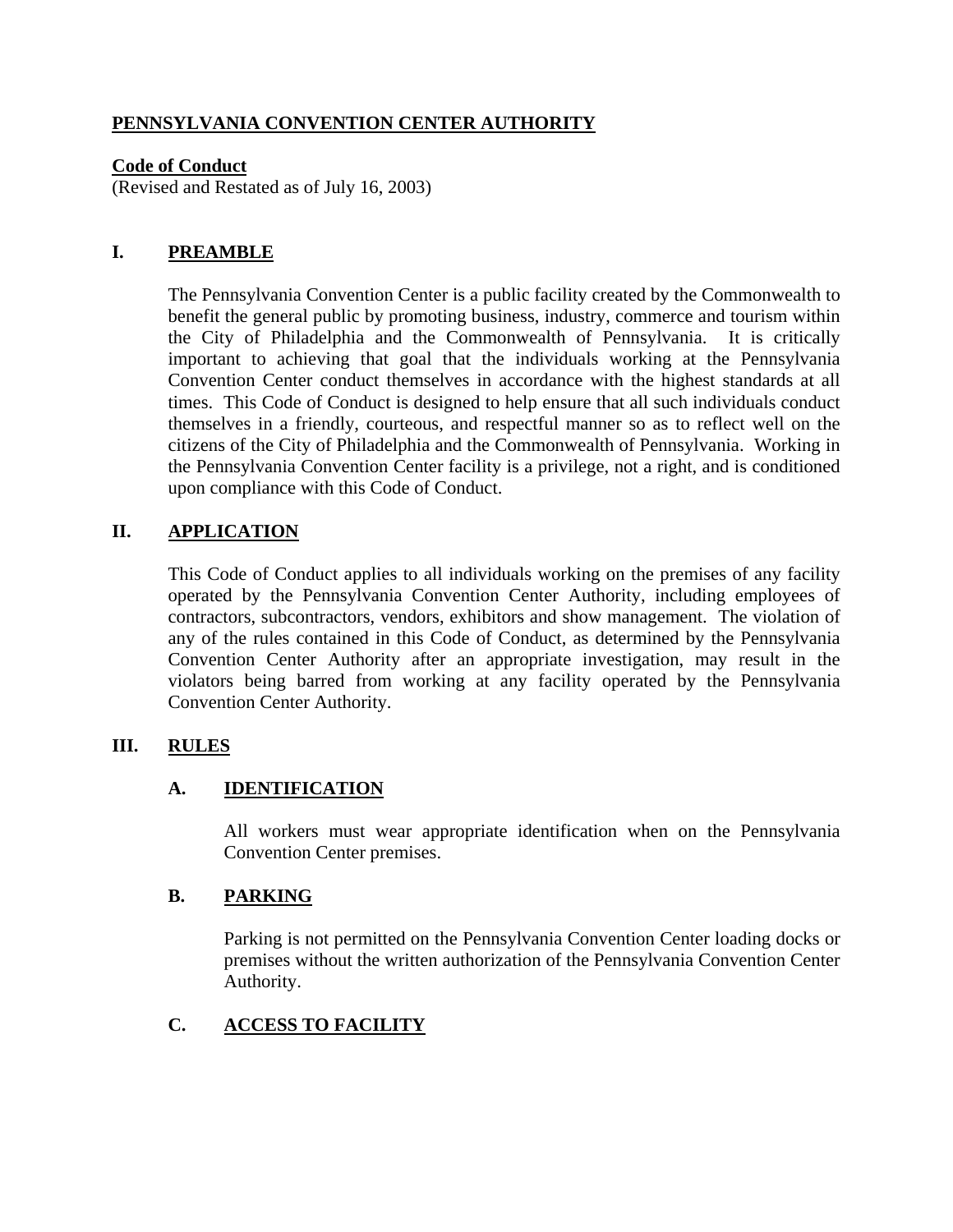### **PENNSYLVANIA CONVENTION CENTER AUTHORITY**

#### **Code of Conduct**

(Revised and Restated as of July 16, 2003)

#### **I. PREAMBLE**

The Pennsylvania Convention Center is a public facility created by the Commonwealth to benefit the general public by promoting business, industry, commerce and tourism within the City of Philadelphia and the Commonwealth of Pennsylvania. It is critically important to achieving that goal that the individuals working at the Pennsylvania Convention Center conduct themselves in accordance with the highest standards at all times. This Code of Conduct is designed to help ensure that all such individuals conduct themselves in a friendly, courteous, and respectful manner so as to reflect well on the citizens of the City of Philadelphia and the Commonwealth of Pennsylvania. Working in the Pennsylvania Convention Center facility is a privilege, not a right, and is conditioned upon compliance with this Code of Conduct.

### **II. APPLICATION**

This Code of Conduct applies to all individuals working on the premises of any facility operated by the Pennsylvania Convention Center Authority, including employees of contractors, subcontractors, vendors, exhibitors and show management. The violation of any of the rules contained in this Code of Conduct, as determined by the Pennsylvania Convention Center Authority after an appropriate investigation, may result in the violators being barred from working at any facility operated by the Pennsylvania Convention Center Authority.

#### **III. RULES**

#### **A. IDENTIFICATION**

All workers must wear appropriate identification when on the Pennsylvania Convention Center premises.

#### **B. PARKING**

Parking is not permitted on the Pennsylvania Convention Center loading docks or premises without the written authorization of the Pennsylvania Convention Center Authority.

# **C. ACCESS TO FACILITY**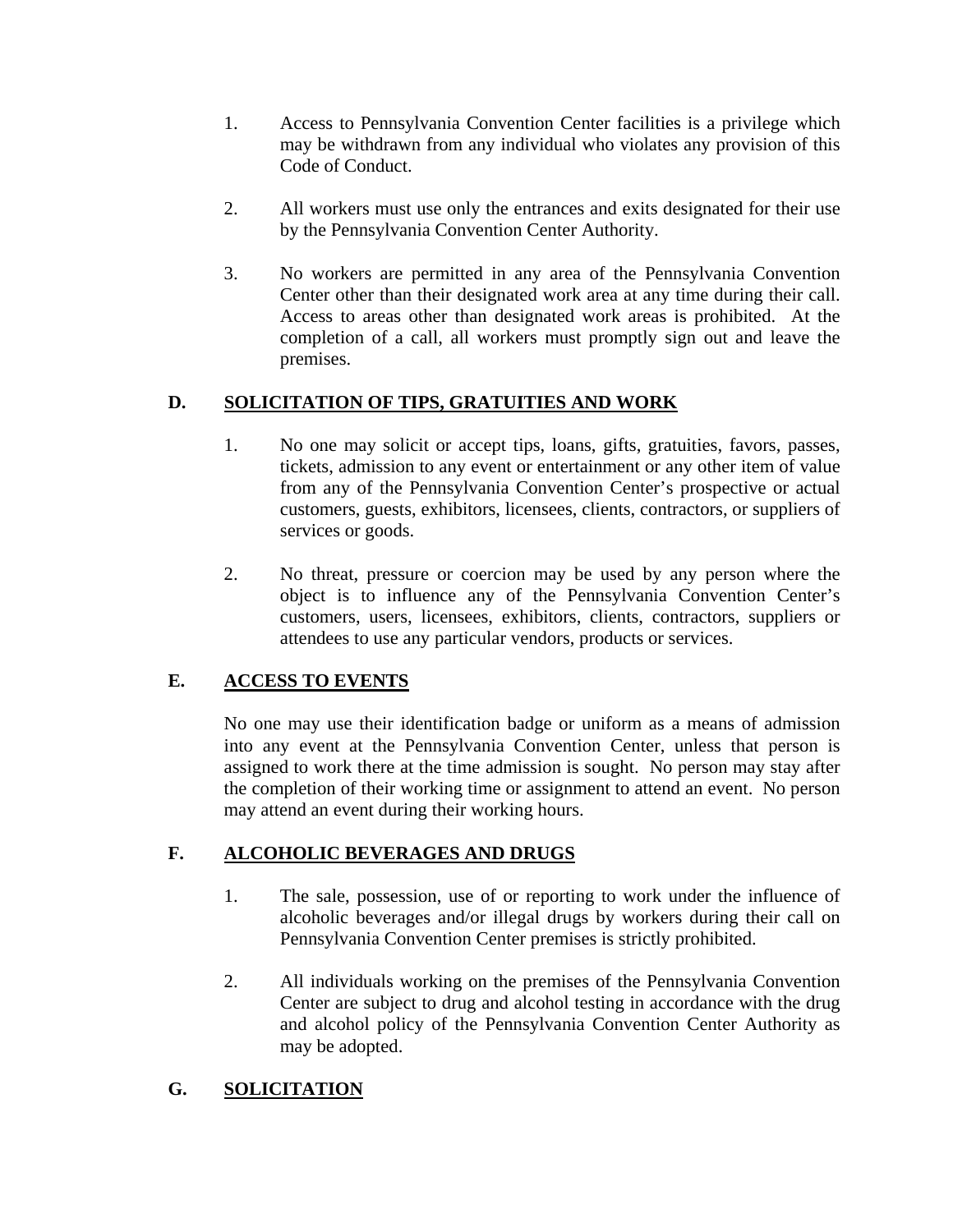- 1. Access to Pennsylvania Convention Center facilities is a privilege which may be withdrawn from any individual who violates any provision of this Code of Conduct.
- 2. All workers must use only the entrances and exits designated for their use by the Pennsylvania Convention Center Authority.
- 3. No workers are permitted in any area of the Pennsylvania Convention Center other than their designated work area at any time during their call. Access to areas other than designated work areas is prohibited. At the completion of a call, all workers must promptly sign out and leave the premises.

# **D. SOLICITATION OF TIPS, GRATUITIES AND WORK**

- 1. No one may solicit or accept tips, loans, gifts, gratuities, favors, passes, tickets, admission to any event or entertainment or any other item of value from any of the Pennsylvania Convention Center's prospective or actual customers, guests, exhibitors, licensees, clients, contractors, or suppliers of services or goods.
- 2. No threat, pressure or coercion may be used by any person where the object is to influence any of the Pennsylvania Convention Center's customers, users, licensees, exhibitors, clients, contractors, suppliers or attendees to use any particular vendors, products or services.

# **E. ACCESS TO EVENTS**

No one may use their identification badge or uniform as a means of admission into any event at the Pennsylvania Convention Center, unless that person is assigned to work there at the time admission is sought. No person may stay after the completion of their working time or assignment to attend an event. No person may attend an event during their working hours.

# **F. ALCOHOLIC BEVERAGES AND DRUGS**

- 1. The sale, possession, use of or reporting to work under the influence of alcoholic beverages and/or illegal drugs by workers during their call on Pennsylvania Convention Center premises is strictly prohibited.
- 2. All individuals working on the premises of the Pennsylvania Convention Center are subject to drug and alcohol testing in accordance with the drug and alcohol policy of the Pennsylvania Convention Center Authority as may be adopted.

# **G. SOLICITATION**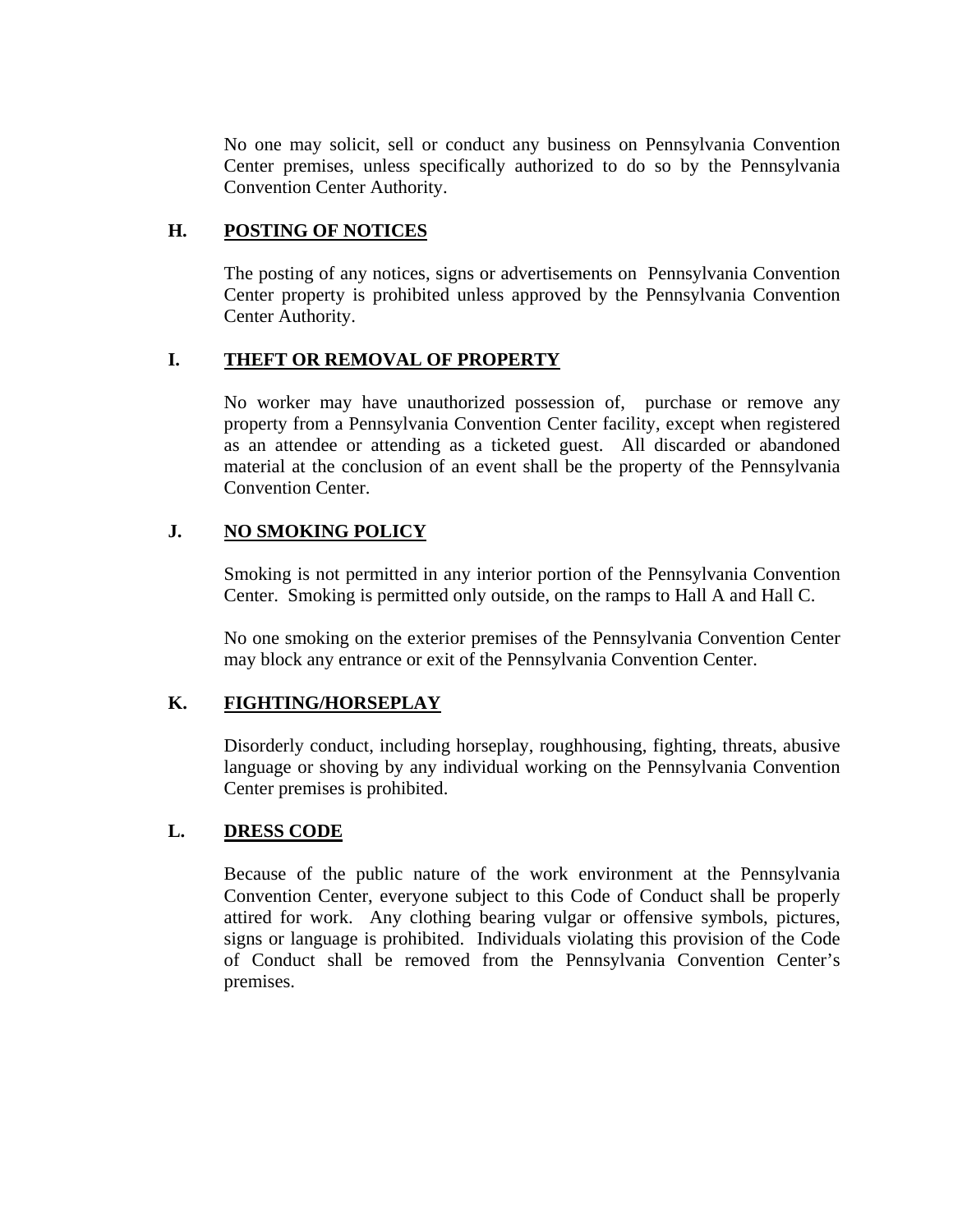No one may solicit, sell or conduct any business on Pennsylvania Convention Center premises, unless specifically authorized to do so by the Pennsylvania Convention Center Authority.

#### **H. POSTING OF NOTICES**

The posting of any notices, signs or advertisements on Pennsylvania Convention Center property is prohibited unless approved by the Pennsylvania Convention Center Authority.

#### **I. THEFT OR REMOVAL OF PROPERTY**

No worker may have unauthorized possession of, purchase or remove any property from a Pennsylvania Convention Center facility, except when registered as an attendee or attending as a ticketed guest. All discarded or abandoned material at the conclusion of an event shall be the property of the Pennsylvania Convention Center.

# **J. NO SMOKING POLICY**

Smoking is not permitted in any interior portion of the Pennsylvania Convention Center. Smoking is permitted only outside, on the ramps to Hall A and Hall C.

No one smoking on the exterior premises of the Pennsylvania Convention Center may block any entrance or exit of the Pennsylvania Convention Center.

#### **K. FIGHTING/HORSEPLAY**

Disorderly conduct, including horseplay, roughhousing, fighting, threats, abusive language or shoving by any individual working on the Pennsylvania Convention Center premises is prohibited.

#### **L. DRESS CODE**

Because of the public nature of the work environment at the Pennsylvania Convention Center, everyone subject to this Code of Conduct shall be properly attired for work. Any clothing bearing vulgar or offensive symbols, pictures, signs or language is prohibited. Individuals violating this provision of the Code of Conduct shall be removed from the Pennsylvania Convention Center's premises.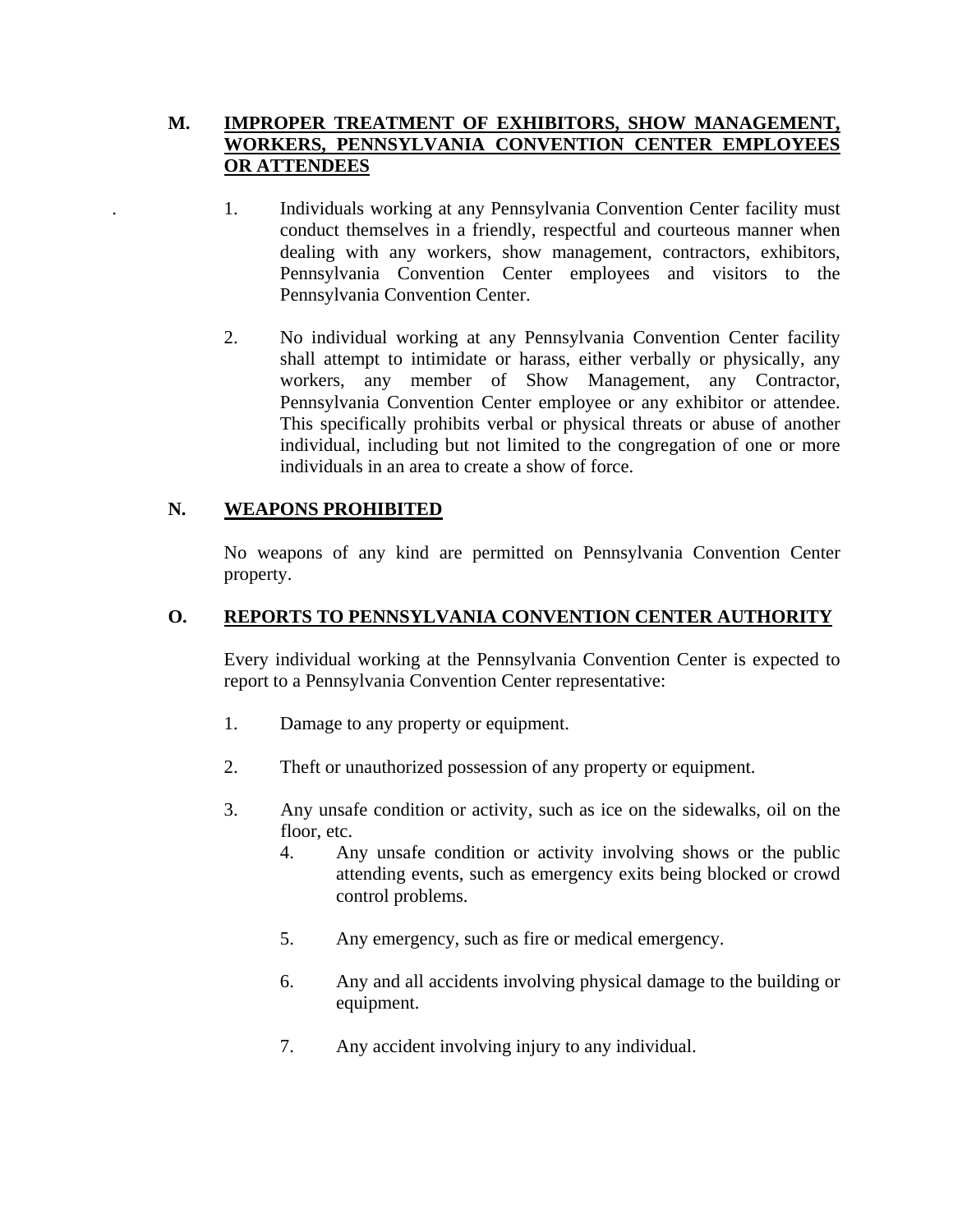### **M. IMPROPER TREATMENT OF EXHIBITORS, SHOW MANAGEMENT, WORKERS, PENNSYLVANIA CONVENTION CENTER EMPLOYEES OR ATTENDEES**

- . 1. Individuals working at any Pennsylvania Convention Center facility must conduct themselves in a friendly, respectful and courteous manner when dealing with any workers, show management, contractors, exhibitors, Pennsylvania Convention Center employees and visitors to the Pennsylvania Convention Center.
- 2. No individual working at any Pennsylvania Convention Center facility shall attempt to intimidate or harass, either verbally or physically, any workers, any member of Show Management, any Contractor, Pennsylvania Convention Center employee or any exhibitor or attendee. This specifically prohibits verbal or physical threats or abuse of another individual, including but not limited to the congregation of one or more individuals in an area to create a show of force.

#### **N. WEAPONS PROHIBITED**

No weapons of any kind are permitted on Pennsylvania Convention Center property.

### **O. REPORTS TO PENNSYLVANIA CONVENTION CENTER AUTHORITY**

Every individual working at the Pennsylvania Convention Center is expected to report to a Pennsylvania Convention Center representative:

- 1. Damage to any property or equipment.
- 2. Theft or unauthorized possession of any property or equipment.
- 3. Any unsafe condition or activity, such as ice on the sidewalks, oil on the floor, etc.
	- 4. Any unsafe condition or activity involving shows or the public attending events, such as emergency exits being blocked or crowd control problems.
	- 5. Any emergency, such as fire or medical emergency.
	- 6. Any and all accidents involving physical damage to the building or equipment.
	- 7. Any accident involving injury to any individual.